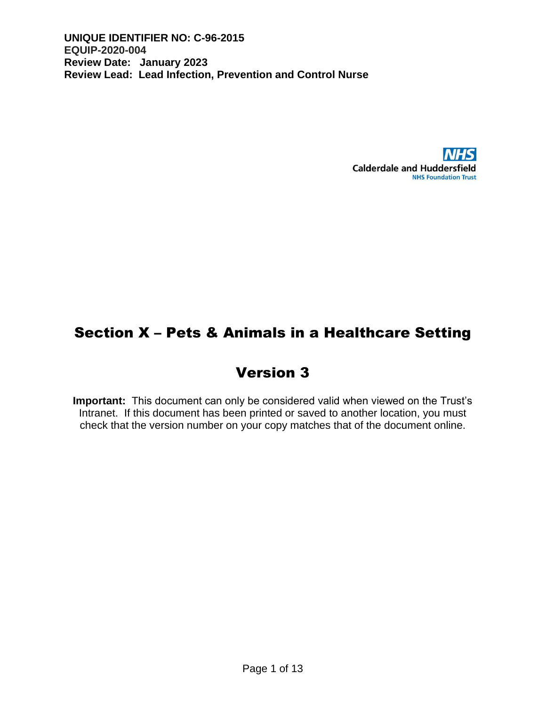

## Section X – Pets & Animals in a Healthcare Setting

# Version 3

**Important:** This document can only be considered valid when viewed on the Trust's Intranet. If this document has been printed or saved to another location, you must check that the version number on your copy matches that of the document online.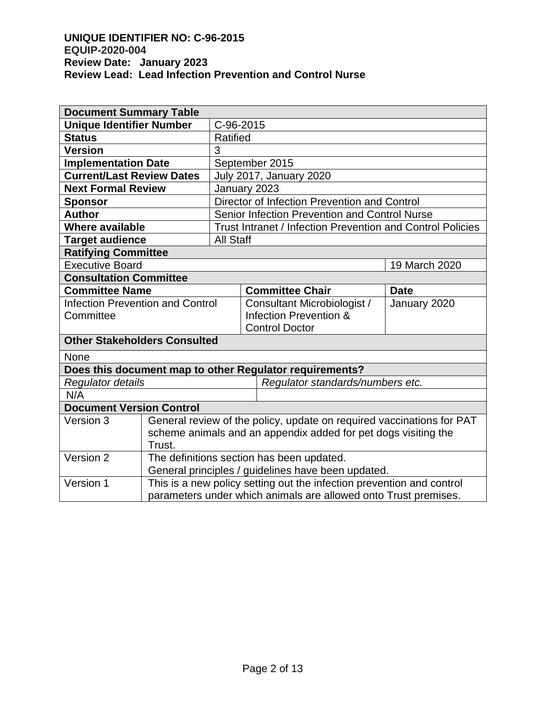| <b>Document Summary Table</b>           |                                                                       |                |                                               |                                                                       |               |  |
|-----------------------------------------|-----------------------------------------------------------------------|----------------|-----------------------------------------------|-----------------------------------------------------------------------|---------------|--|
| <b>Unique Identifier Number</b>         |                                                                       | C-96-2015      |                                               |                                                                       |               |  |
| <b>Status</b>                           |                                                                       | Ratified       |                                               |                                                                       |               |  |
| <b>Version</b>                          | 3                                                                     |                |                                               |                                                                       |               |  |
| <b>Implementation Date</b>              |                                                                       | September 2015 |                                               |                                                                       |               |  |
| <b>Current/Last Review Dates</b>        |                                                                       |                |                                               | <b>July 2017, January 2020</b>                                        |               |  |
| <b>Next Formal Review</b>               |                                                                       | January 2023   |                                               |                                                                       |               |  |
| <b>Sponsor</b>                          |                                                                       |                | Director of Infection Prevention and Control  |                                                                       |               |  |
| <b>Author</b>                           |                                                                       |                | Senior Infection Prevention and Control Nurse |                                                                       |               |  |
| <b>Where available</b>                  |                                                                       |                |                                               | Trust Intranet / Infection Prevention and Control Policies            |               |  |
| <b>Target audience</b>                  |                                                                       | All Staff      |                                               |                                                                       |               |  |
| <b>Ratifying Committee</b>              |                                                                       |                |                                               |                                                                       |               |  |
| <b>Executive Board</b>                  |                                                                       |                |                                               |                                                                       | 19 March 2020 |  |
| <b>Consultation Committee</b>           |                                                                       |                |                                               |                                                                       |               |  |
| <b>Committee Name</b>                   |                                                                       |                |                                               | <b>Committee Chair</b>                                                | <b>Date</b>   |  |
| <b>Infection Prevention and Control</b> |                                                                       |                |                                               | Consultant Microbiologist /                                           | January 2020  |  |
| Committee                               |                                                                       |                |                                               | Infection Prevention &                                                |               |  |
|                                         |                                                                       |                |                                               | <b>Control Doctor</b>                                                 |               |  |
| <b>Other Stakeholders Consulted</b>     |                                                                       |                |                                               |                                                                       |               |  |
| None                                    |                                                                       |                |                                               |                                                                       |               |  |
|                                         |                                                                       |                |                                               | Does this document map to other Regulator requirements?               |               |  |
| Regulator details                       |                                                                       |                |                                               | Regulator standards/numbers etc.                                      |               |  |
| N/A                                     |                                                                       |                |                                               |                                                                       |               |  |
| <b>Document Version Control</b>         |                                                                       |                |                                               |                                                                       |               |  |
| Version 3                               |                                                                       |                |                                               | General review of the policy, update on required vaccinations for PAT |               |  |
|                                         | scheme animals and an appendix added for pet dogs visiting the        |                |                                               |                                                                       |               |  |
|                                         | Trust.                                                                |                |                                               |                                                                       |               |  |
| Version 2                               | The definitions section has been updated.                             |                |                                               |                                                                       |               |  |
|                                         | General principles / guidelines have been updated.                    |                |                                               |                                                                       |               |  |
| Version 1                               | This is a new policy setting out the infection prevention and control |                |                                               |                                                                       |               |  |
|                                         | parameters under which animals are allowed onto Trust premises.       |                |                                               |                                                                       |               |  |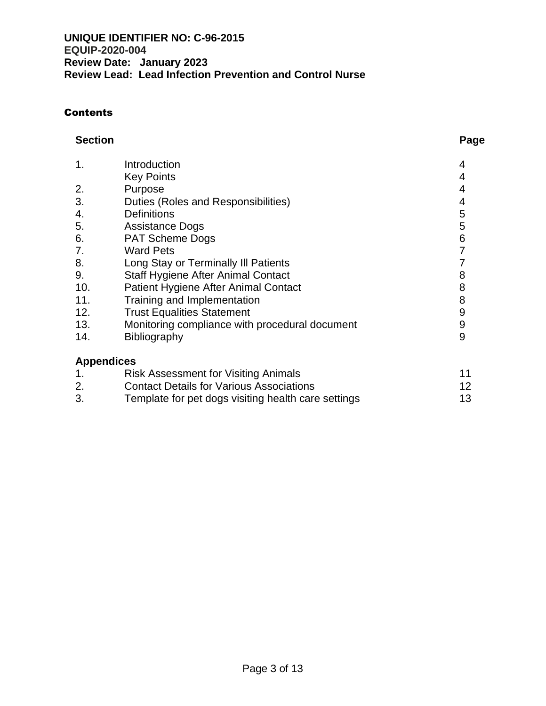#### **Contents**

#### **Section Page**

| 1.                | Introduction                                   |   |
|-------------------|------------------------------------------------|---|
|                   | <b>Key Points</b>                              |   |
| 2.                | Purpose                                        |   |
| 3.                | Duties (Roles and Responsibilities)            | 4 |
| 4.                | <b>Definitions</b>                             | 5 |
| 5.                | <b>Assistance Dogs</b>                         | 5 |
| 6.                | <b>PAT Scheme Dogs</b>                         | 6 |
| 7.                | <b>Ward Pets</b>                               |   |
| 8.                | Long Stay or Terminally III Patients           |   |
| 9.                | <b>Staff Hygiene After Animal Contact</b>      | 8 |
| 10.               | Patient Hygiene After Animal Contact           | 8 |
| 11.               | Training and Implementation                    | 8 |
| 12.               | <b>Trust Equalities Statement</b>              | 9 |
| 13.               | Monitoring compliance with procedural document | 9 |
| 14.               | Bibliography                                   | 9 |
| <b>Appendices</b> |                                                |   |

|    | Risk Assessment for Visiting Animals                | 11 |
|----|-----------------------------------------------------|----|
| 2. | <b>Contact Details for Various Associations</b>     | 12 |
| 3. | Template for pet dogs visiting health care settings | 13 |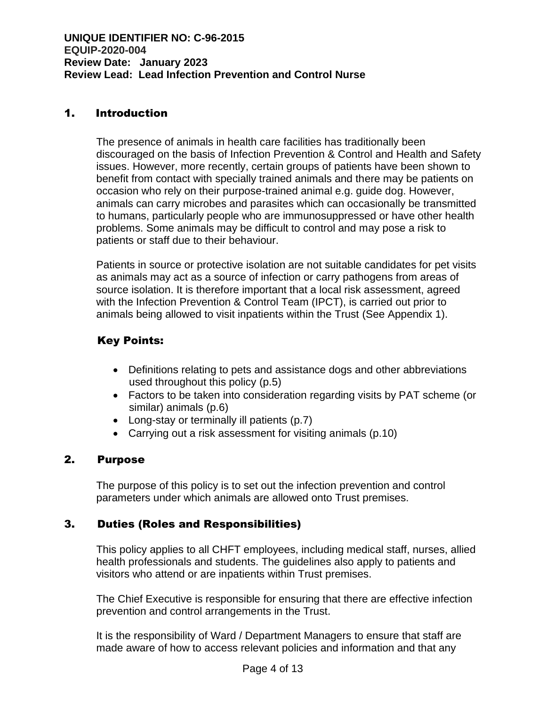## 1. Introduction

The presence of animals in health care facilities has traditionally been discouraged on the basis of Infection Prevention & Control and Health and Safety issues. However, more recently, certain groups of patients have been shown to benefit from contact with specially trained animals and there may be patients on occasion who rely on their purpose-trained animal e.g. guide dog. However, animals can carry microbes and parasites which can occasionally be transmitted to humans, particularly people who are immunosuppressed or have other health problems. Some animals may be difficult to control and may pose a risk to patients or staff due to their behaviour.

Patients in source or protective isolation are not suitable candidates for pet visits as animals may act as a source of infection or carry pathogens from areas of source isolation. It is therefore important that a local risk assessment, agreed with the Infection Prevention & Control Team (IPCT), is carried out prior to animals being allowed to visit inpatients within the Trust (See Appendix 1).

## Key Points:

- Definitions relating to pets and assistance dogs and other abbreviations used throughout this policy (p.5)
- Factors to be taken into consideration regarding visits by PAT scheme (or similar) animals (p.6)
- Long-stay or terminally ill patients (p.7)
- Carrying out a risk assessment for visiting animals (p.10)

## 2. Purpose

The purpose of this policy is to set out the infection prevention and control parameters under which animals are allowed onto Trust premises.

## 3. Duties (Roles and Responsibilities)

This policy applies to all CHFT employees, including medical staff, nurses, allied health professionals and students. The guidelines also apply to patients and visitors who attend or are inpatients within Trust premises.

The Chief Executive is responsible for ensuring that there are effective infection prevention and control arrangements in the Trust.

It is the responsibility of Ward / Department Managers to ensure that staff are made aware of how to access relevant policies and information and that any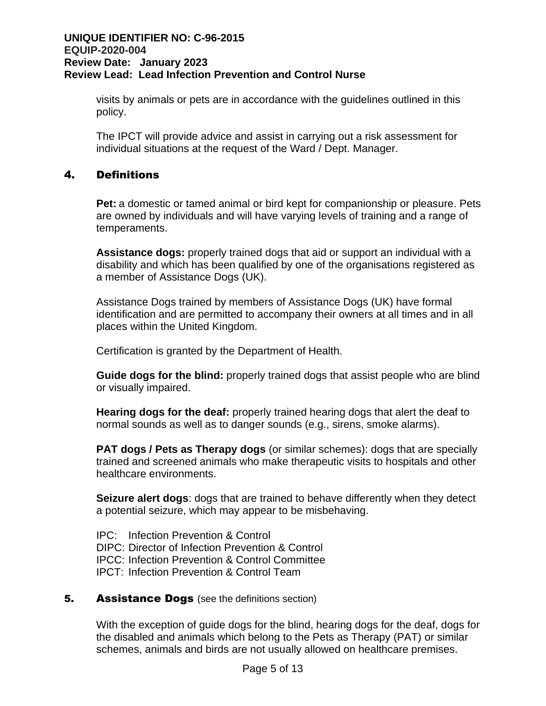visits by animals or pets are in accordance with the guidelines outlined in this policy.

The IPCT will provide advice and assist in carrying out a risk assessment for individual situations at the request of the Ward / Dept. Manager.

## 4. Definitions

**Pet:** a domestic or tamed animal or bird kept for companionship or pleasure. Pets are owned by individuals and will have varying levels of training and a range of temperaments.

**Assistance dogs:** properly trained dogs that aid or support an individual with a disability and which has been qualified by one of the organisations registered as a member of Assistance Dogs (UK).

Assistance Dogs trained by members of Assistance Dogs (UK) have formal identification and are permitted to accompany their owners at all times and in all places within the United Kingdom.

Certification is granted by the Department of Health.

**Guide dogs for the blind:** properly trained dogs that assist people who are blind or visually impaired.

**Hearing dogs for the deaf:** properly trained hearing dogs that alert the deaf to normal sounds as well as to danger sounds (e.g., sirens, smoke alarms).

**PAT dogs / Pets as Therapy dogs** (or similar schemes): dogs that are specially trained and screened animals who make therapeutic visits to hospitals and other healthcare environments.

**Seizure alert dogs**: dogs that are trained to behave differently when they detect a potential seizure, which may appear to be misbehaving.

IPC: Infection Prevention & Control DIPC: Director of Infection Prevention & Control IPCC: Infection Prevention & Control Committee IPCT: Infection Prevention & Control Team

#### **5.** Assistance Dogs (see the definitions section)

With the exception of guide dogs for the blind, hearing dogs for the deaf, dogs for the disabled and animals which belong to the Pets as Therapy (PAT) or similar schemes, animals and birds are not usually allowed on healthcare premises.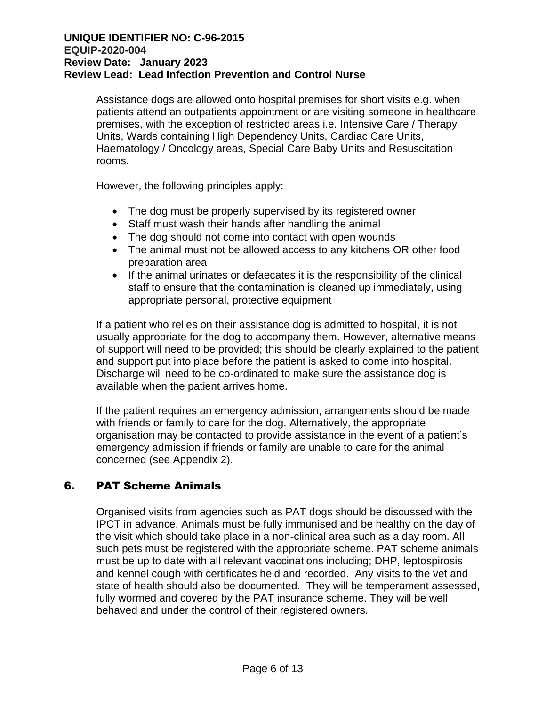Assistance dogs are allowed onto hospital premises for short visits e.g. when patients attend an outpatients appointment or are visiting someone in healthcare premises, with the exception of restricted areas i.e. Intensive Care / Therapy Units, Wards containing High Dependency Units, Cardiac Care Units, Haematology / Oncology areas, Special Care Baby Units and Resuscitation rooms.

However, the following principles apply:

- The dog must be properly supervised by its registered owner
- Staff must wash their hands after handling the animal
- The dog should not come into contact with open wounds
- The animal must not be allowed access to any kitchens OR other food preparation area
- If the animal urinates or defaecates it is the responsibility of the clinical staff to ensure that the contamination is cleaned up immediately, using appropriate personal, protective equipment

If a patient who relies on their assistance dog is admitted to hospital, it is not usually appropriate for the dog to accompany them. However, alternative means of support will need to be provided; this should be clearly explained to the patient and support put into place before the patient is asked to come into hospital. Discharge will need to be co-ordinated to make sure the assistance dog is available when the patient arrives home.

If the patient requires an emergency admission, arrangements should be made with friends or family to care for the dog. Alternatively, the appropriate organisation may be contacted to provide assistance in the event of a patient's emergency admission if friends or family are unable to care for the animal concerned (see Appendix 2).

## 6. PAT Scheme Animals

Organised visits from agencies such as PAT dogs should be discussed with the IPCT in advance. Animals must be fully immunised and be healthy on the day of the visit which should take place in a non-clinical area such as a day room. All such pets must be registered with the appropriate scheme. PAT scheme animals must be up to date with all relevant vaccinations including; DHP, leptospirosis and kennel cough with certificates held and recorded. Any visits to the vet and state of health should also be documented. They will be temperament assessed, fully wormed and covered by the PAT insurance scheme. They will be well behaved and under the control of their registered owners.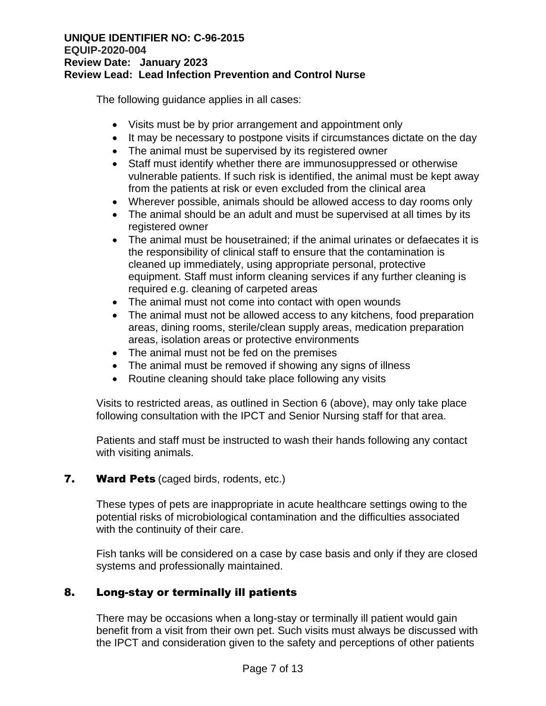The following guidance applies in all cases:

- Visits must be by prior arrangement and appointment only
- It may be necessary to postpone visits if circumstances dictate on the day
- The animal must be supervised by its registered owner
- Staff must identify whether there are immunosuppressed or otherwise vulnerable patients. If such risk is identified, the animal must be kept away from the patients at risk or even excluded from the clinical area
- Wherever possible, animals should be allowed access to day rooms only
- The animal should be an adult and must be supervised at all times by its registered owner
- The animal must be housetrained; if the animal urinates or defaecates it is the responsibility of clinical staff to ensure that the contamination is cleaned up immediately, using appropriate personal, protective equipment. Staff must inform cleaning services if any further cleaning is required e.g. cleaning of carpeted areas
- The animal must not come into contact with open wounds
- The animal must not be allowed access to any kitchens, food preparation areas, dining rooms, sterile/clean supply areas, medication preparation areas, isolation areas or protective environments
- The animal must not be fed on the premises
- The animal must be removed if showing any signs of illness
- Routine cleaning should take place following any visits

Visits to restricted areas, as outlined in Section 6 (above), may only take place following consultation with the IPCT and Senior Nursing staff for that area.

Patients and staff must be instructed to wash their hands following any contact with visiting animals.

## **7.** Ward Pets (caged birds, rodents, etc.)

These types of pets are inappropriate in acute healthcare settings owing to the potential risks of microbiological contamination and the difficulties associated with the continuity of their care.

Fish tanks will be considered on a case by case basis and only if they are closed systems and professionally maintained.

## 8. Long-stay or terminally ill patients

There may be occasions when a long-stay or terminally ill patient would gain benefit from a visit from their own pet. Such visits must always be discussed with the IPCT and consideration given to the safety and perceptions of other patients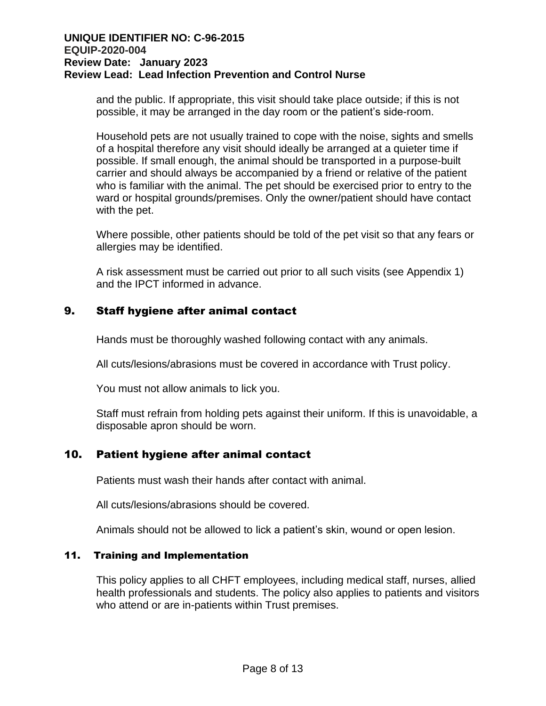and the public. If appropriate, this visit should take place outside; if this is not possible, it may be arranged in the day room or the patient's side-room.

Household pets are not usually trained to cope with the noise, sights and smells of a hospital therefore any visit should ideally be arranged at a quieter time if possible. If small enough, the animal should be transported in a purpose-built carrier and should always be accompanied by a friend or relative of the patient who is familiar with the animal. The pet should be exercised prior to entry to the ward or hospital grounds/premises. Only the owner/patient should have contact with the pet.

Where possible, other patients should be told of the pet visit so that any fears or allergies may be identified.

A risk assessment must be carried out prior to all such visits (see Appendix 1) and the IPCT informed in advance.

## 9. Staff hygiene after animal contact

Hands must be thoroughly washed following contact with any animals.

All cuts/lesions/abrasions must be covered in accordance with Trust policy.

You must not allow animals to lick you.

Staff must refrain from holding pets against their uniform. If this is unavoidable, a disposable apron should be worn.

## 10. Patient hygiene after animal contact

Patients must wash their hands after contact with animal.

All cuts/lesions/abrasions should be covered.

Animals should not be allowed to lick a patient's skin, wound or open lesion.

#### 11. Training and Implementation

This policy applies to all CHFT employees, including medical staff, nurses, allied health professionals and students. The policy also applies to patients and visitors who attend or are in-patients within Trust premises.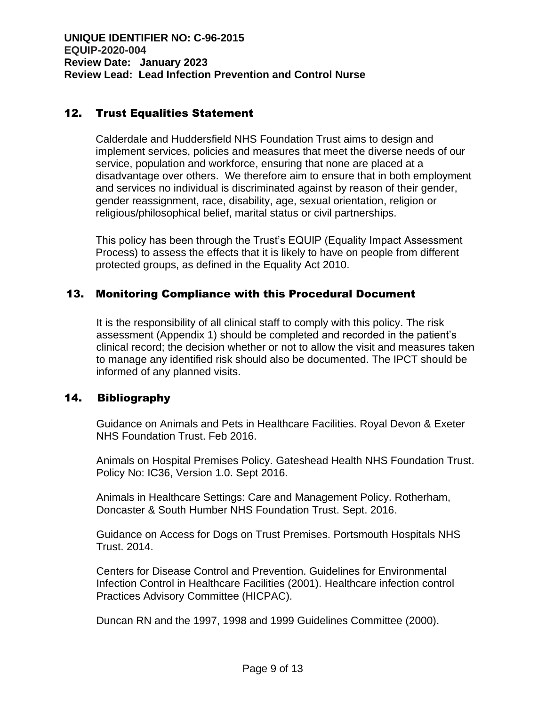## 12. Trust Equalities Statement

Calderdale and Huddersfield NHS Foundation Trust aims to design and implement services, policies and measures that meet the diverse needs of our service, population and workforce, ensuring that none are placed at a disadvantage over others. We therefore aim to ensure that in both employment and services no individual is discriminated against by reason of their gender, gender reassignment, race, disability, age, sexual orientation, religion or religious/philosophical belief, marital status or civil partnerships.

This policy has been through the Trust's EQUIP (Equality Impact Assessment Process) to assess the effects that it is likely to have on people from different protected groups, as defined in the Equality Act 2010.

## 13. Monitoring Compliance with this Procedural Document

It is the responsibility of all clinical staff to comply with this policy. The risk assessment (Appendix 1) should be completed and recorded in the patient's clinical record; the decision whether or not to allow the visit and measures taken to manage any identified risk should also be documented. The IPCT should be informed of any planned visits.

#### 14. Bibliography

Guidance on Animals and Pets in Healthcare Facilities. Royal Devon & Exeter NHS Foundation Trust. Feb 2016.

Animals on Hospital Premises Policy. Gateshead Health NHS Foundation Trust. Policy No: IC36, Version 1.0. Sept 2016.

Animals in Healthcare Settings: Care and Management Policy. Rotherham, Doncaster & South Humber NHS Foundation Trust. Sept. 2016.

Guidance on Access for Dogs on Trust Premises. Portsmouth Hospitals NHS Trust. 2014.

Centers for Disease Control and Prevention. Guidelines for Environmental Infection Control in Healthcare Facilities (2001). Healthcare infection control Practices Advisory Committee (HICPAC).

Duncan RN and the 1997, 1998 and 1999 Guidelines Committee (2000).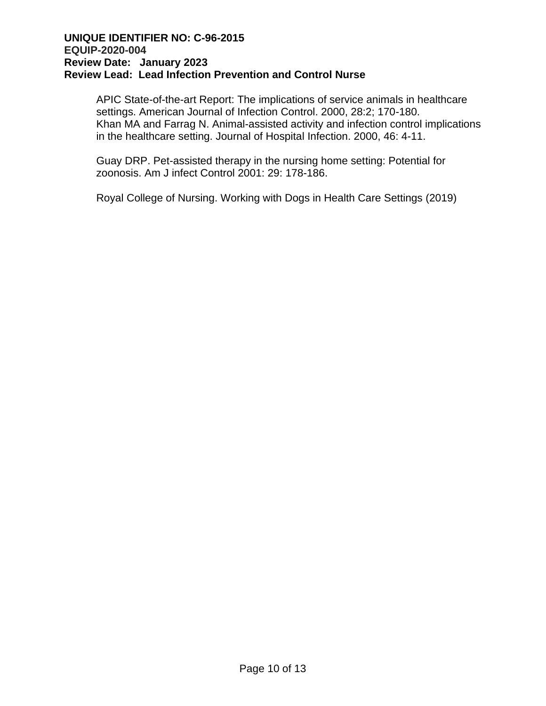APIC State-of-the-art Report: The implications of service animals in healthcare settings. American Journal of Infection Control. 2000, 28:2; 170-180. Khan MA and Farrag N. Animal-assisted activity and infection control implications in the healthcare setting. Journal of Hospital Infection. 2000, 46: 4-11.

Guay DRP. Pet-assisted therapy in the nursing home setting: Potential for zoonosis. Am J infect Control 2001: 29: 178-186.

Royal College of Nursing. Working with Dogs in Health Care Settings (2019)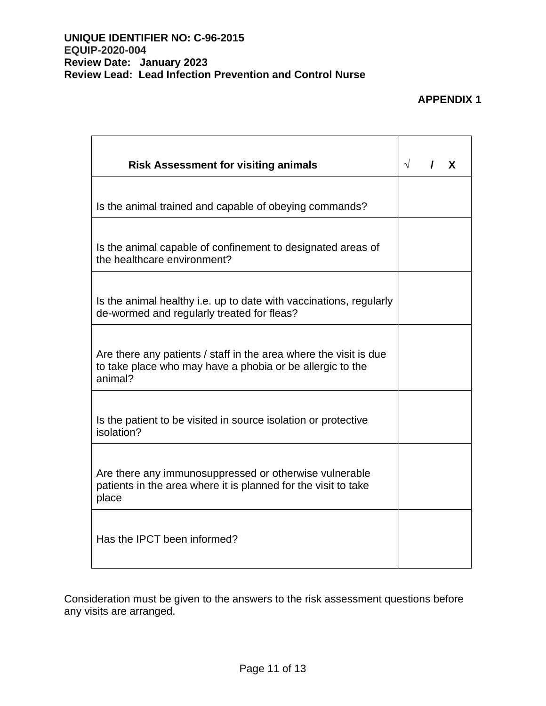## **APPENDIX 1**

| <b>Risk Assessment for visiting animals</b>                                                                                               | $\sqrt{ }$ | X |
|-------------------------------------------------------------------------------------------------------------------------------------------|------------|---|
| Is the animal trained and capable of obeying commands?                                                                                    |            |   |
| Is the animal capable of confinement to designated areas of<br>the healthcare environment?                                                |            |   |
| Is the animal healthy i.e. up to date with vaccinations, regularly<br>de-wormed and regularly treated for fleas?                          |            |   |
| Are there any patients / staff in the area where the visit is due<br>to take place who may have a phobia or be allergic to the<br>animal? |            |   |
| Is the patient to be visited in source isolation or protective<br>isolation?                                                              |            |   |
| Are there any immunosuppressed or otherwise vulnerable<br>patients in the area where it is planned for the visit to take<br>place         |            |   |
| Has the IPCT been informed?                                                                                                               |            |   |

Consideration must be given to the answers to the risk assessment questions before any visits are arranged.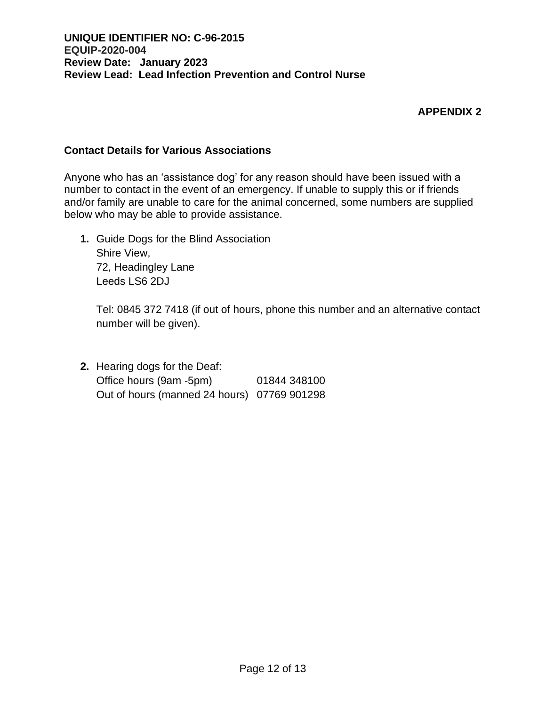### **APPENDIX 2**

### **Contact Details for Various Associations**

Anyone who has an 'assistance dog' for any reason should have been issued with a number to contact in the event of an emergency. If unable to supply this or if friends and/or family are unable to care for the animal concerned, some numbers are supplied below who may be able to provide assistance.

**1.** Guide Dogs for the Blind Association Shire View, 72, Headingley Lane Leeds LS6 2DJ

Tel: 0845 372 7418 (if out of hours, phone this number and an alternative contact number will be given).

**2.** Hearing dogs for the Deaf: Office hours (9am -5pm) 01844 348100 Out of hours (manned 24 hours) 07769 901298